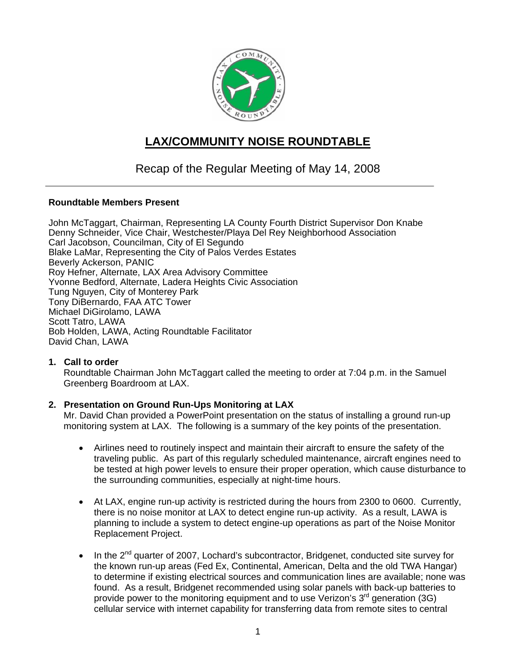

# **LAX/COMMUNITY NOISE ROUNDTABLE**

# Recap of the Regular Meeting of May 14, 2008

## **Roundtable Members Present**

John McTaggart, Chairman, Representing LA County Fourth District Supervisor Don Knabe Denny Schneider, Vice Chair, Westchester/Playa Del Rey Neighborhood Association Carl Jacobson, Councilman, City of El Segundo Blake LaMar, Representing the City of Palos Verdes Estates Beverly Ackerson, PANIC Roy Hefner, Alternate, LAX Area Advisory Committee Yvonne Bedford, Alternate, Ladera Heights Civic Association Tung Nguyen, City of Monterey Park Tony DiBernardo, FAA ATC Tower Michael DiGirolamo, LAWA Scott Tatro, LAWA Bob Holden, LAWA, Acting Roundtable Facilitator David Chan, LAWA

## **1. Call to order**

Roundtable Chairman John McTaggart called the meeting to order at 7:04 p.m. in the Samuel Greenberg Boardroom at LAX.

## **2. Presentation on Ground Run-Ups Monitoring at LAX**

Mr. David Chan provided a PowerPoint presentation on the status of installing a ground run-up monitoring system at LAX. The following is a summary of the key points of the presentation.

- Airlines need to routinely inspect and maintain their aircraft to ensure the safety of the traveling public. As part of this regularly scheduled maintenance, aircraft engines need to be tested at high power levels to ensure their proper operation, which cause disturbance to the surrounding communities, especially at night-time hours.
- At LAX, engine run-up activity is restricted during the hours from 2300 to 0600. Currently, there is no noise monitor at LAX to detect engine run-up activity. As a result, LAWA is planning to include a system to detect engine-up operations as part of the Noise Monitor Replacement Project.
- In the  $2^{nd}$  quarter of 2007, Lochard's subcontractor, Bridgenet, conducted site survey for the known run-up areas (Fed Ex, Continental, American, Delta and the old TWA Hangar) to determine if existing electrical sources and communication lines are available; none was found. As a result, Bridgenet recommended using solar panels with back-up batteries to provide power to the monitoring equipment and to use Verizon's 3<sup>rd</sup> generation (3G) cellular service with internet capability for transferring data from remote sites to central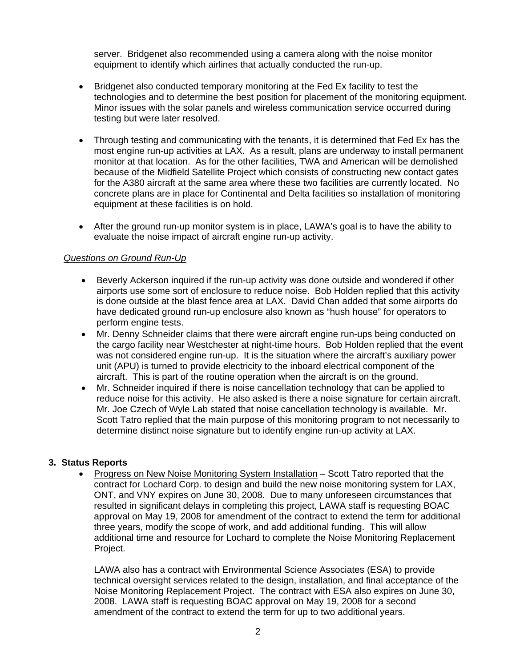server. Bridgenet also recommended using a camera along with the noise monitor equipment to identify which airlines that actually conducted the run-up.

- Bridgenet also conducted temporary monitoring at the Fed Ex facility to test the technologies and to determine the best position for placement of the monitoring equipment. Minor issues with the solar panels and wireless communication service occurred during testing but were later resolved.
- Through testing and communicating with the tenants, it is determined that Fed Ex has the most engine run-up activities at LAX. As a result, plans are underway to install permanent monitor at that location. As for the other facilities, TWA and American will be demolished because of the Midfield Satellite Project which consists of constructing new contact gates for the A380 aircraft at the same area where these two facilities are currently located. No concrete plans are in place for Continental and Delta facilities so installation of monitoring equipment at these facilities is on hold.
- After the ground run-up monitor system is in place, LAWA's goal is to have the ability to evaluate the noise impact of aircraft engine run-up activity.

## *Questions on Ground Run-Up*

- Beverly Ackerson inquired if the run-up activity was done outside and wondered if other airports use some sort of enclosure to reduce noise. Bob Holden replied that this activity is done outside at the blast fence area at LAX. David Chan added that some airports do have dedicated ground run-up enclosure also known as "hush house" for operators to perform engine tests.
- Mr. Denny Schneider claims that there were aircraft engine run-ups being conducted on the cargo facility near Westchester at night-time hours. Bob Holden replied that the event was not considered engine run-up. It is the situation where the aircraft's auxiliary power unit (APU) is turned to provide electricity to the inboard electrical component of the aircraft. This is part of the routine operation when the aircraft is on the ground.
- Mr. Schneider inquired if there is noise cancellation technology that can be applied to reduce noise for this activity. He also asked is there a noise signature for certain aircraft. Mr. Joe Czech of Wyle Lab stated that noise cancellation technology is available. Mr. Scott Tatro replied that the main purpose of this monitoring program to not necessarily to determine distinct noise signature but to identify engine run-up activity at LAX.

#### **3. Status Reports**

• Progress on New Noise Monitoring System Installation – Scott Tatro reported that the contract for Lochard Corp. to design and build the new noise monitoring system for LAX, ONT, and VNY expires on June 30, 2008. Due to many unforeseen circumstances that resulted in significant delays in completing this project, LAWA staff is requesting BOAC approval on May 19, 2008 for amendment of the contract to extend the term for additional three years, modify the scope of work, and add additional funding. This will allow additional time and resource for Lochard to complete the Noise Monitoring Replacement Project.

LAWA also has a contract with Environmental Science Associates (ESA) to provide technical oversight services related to the design, installation, and final acceptance of the Noise Monitoring Replacement Project. The contract with ESA also expires on June 30, 2008. LAWA staff is requesting BOAC approval on May 19, 2008 for a second amendment of the contract to extend the term for up to two additional years.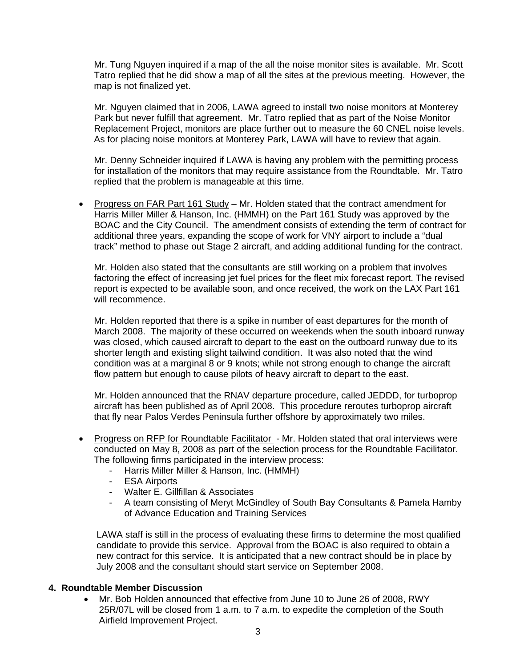Mr. Tung Nguyen inquired if a map of the all the noise monitor sites is available. Mr. Scott Tatro replied that he did show a map of all the sites at the previous meeting. However, the map is not finalized yet.

Mr. Nguyen claimed that in 2006, LAWA agreed to install two noise monitors at Monterey Park but never fulfill that agreement. Mr. Tatro replied that as part of the Noise Monitor Replacement Project, monitors are place further out to measure the 60 CNEL noise levels. As for placing noise monitors at Monterey Park, LAWA will have to review that again.

Mr. Denny Schneider inquired if LAWA is having any problem with the permitting process for installation of the monitors that may require assistance from the Roundtable. Mr. Tatro replied that the problem is manageable at this time.

• Progress on FAR Part 161 Study - Mr. Holden stated that the contract amendment for Harris Miller Miller & Hanson, Inc. (HMMH) on the Part 161 Study was approved by the BOAC and the City Council. The amendment consists of extending the term of contract for additional three years, expanding the scope of work for VNY airport to include a "dual track" method to phase out Stage 2 aircraft, and adding additional funding for the contract.

Mr. Holden also stated that the consultants are still working on a problem that involves factoring the effect of increasing jet fuel prices for the fleet mix forecast report. The revised report is expected to be available soon, and once received, the work on the LAX Part 161 will recommence.

Mr. Holden reported that there is a spike in number of east departures for the month of March 2008. The majority of these occurred on weekends when the south inboard runway was closed, which caused aircraft to depart to the east on the outboard runway due to its shorter length and existing slight tailwind condition. It was also noted that the wind condition was at a marginal 8 or 9 knots; while not strong enough to change the aircraft flow pattern but enough to cause pilots of heavy aircraft to depart to the east.

Mr. Holden announced that the RNAV departure procedure, called JEDDD, for turboprop aircraft has been published as of April 2008. This procedure reroutes turboprop aircraft that fly near Palos Verdes Peninsula further offshore by approximately two miles.

- Progress on RFP for Roundtable Facilitator Mr. Holden stated that oral interviews were conducted on May 8, 2008 as part of the selection process for the Roundtable Facilitator. The following firms participated in the interview process:
	- Harris Miller Miller & Hanson, Inc. (HMMH)
	- ESA Airports
	- Walter E. Gillfillan & Associates
	- A team consisting of Meryt McGindley of South Bay Consultants & Pamela Hamby of Advance Education and Training Services

LAWA staff is still in the process of evaluating these firms to determine the most qualified candidate to provide this service. Approval from the BOAC is also required to obtain a new contract for this service. It is anticipated that a new contract should be in place by July 2008 and the consultant should start service on September 2008.

## **4. Roundtable Member Discussion**

• Mr. Bob Holden announced that effective from June 10 to June 26 of 2008, RWY 25R/07L will be closed from 1 a.m. to 7 a.m. to expedite the completion of the South Airfield Improvement Project.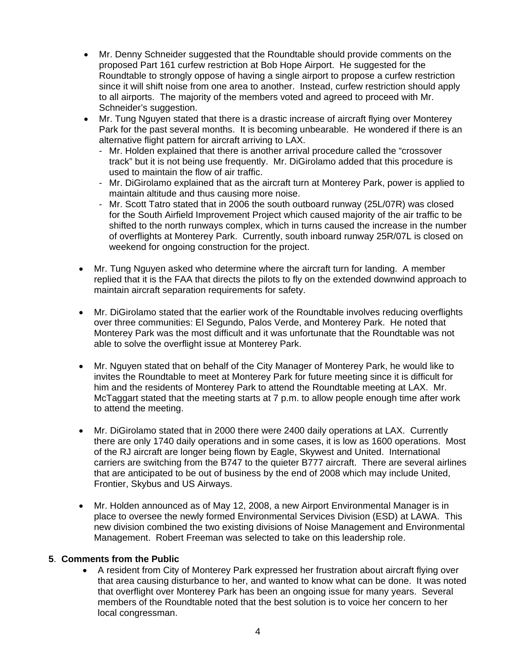- Mr. Denny Schneider suggested that the Roundtable should provide comments on the proposed Part 161 curfew restriction at Bob Hope Airport. He suggested for the Roundtable to strongly oppose of having a single airport to propose a curfew restriction since it will shift noise from one area to another. Instead, curfew restriction should apply to all airports. The majority of the members voted and agreed to proceed with Mr. Schneider's suggestion.
- Mr. Tung Nguyen stated that there is a drastic increase of aircraft flying over Monterey Park for the past several months. It is becoming unbearable. He wondered if there is an alternative flight pattern for aircraft arriving to LAX.
	- Mr. Holden explained that there is another arrival procedure called the "crossover track" but it is not being use frequently. Mr. DiGirolamo added that this procedure is used to maintain the flow of air traffic.
	- Mr. DiGirolamo explained that as the aircraft turn at Monterey Park, power is applied to maintain altitude and thus causing more noise.
	- Mr. Scott Tatro stated that in 2006 the south outboard runway (25L/07R) was closed for the South Airfield Improvement Project which caused majority of the air traffic to be shifted to the north runways complex, which in turns caused the increase in the number of overflights at Monterey Park. Currently, south inboard runway 25R/07L is closed on weekend for ongoing construction for the project.
- Mr. Tung Nguyen asked who determine where the aircraft turn for landing. A member replied that it is the FAA that directs the pilots to fly on the extended downwind approach to maintain aircraft separation requirements for safety.
- Mr. DiGirolamo stated that the earlier work of the Roundtable involves reducing overflights over three communities: El Segundo, Palos Verde, and Monterey Park. He noted that Monterey Park was the most difficult and it was unfortunate that the Roundtable was not able to solve the overflight issue at Monterey Park.
- Mr. Nguyen stated that on behalf of the City Manager of Monterey Park, he would like to invites the Roundtable to meet at Monterey Park for future meeting since it is difficult for him and the residents of Monterey Park to attend the Roundtable meeting at LAX. Mr. McTaggart stated that the meeting starts at 7 p.m. to allow people enough time after work to attend the meeting.
- Mr. DiGirolamo stated that in 2000 there were 2400 daily operations at LAX. Currently there are only 1740 daily operations and in some cases, it is low as 1600 operations. Most of the RJ aircraft are longer being flown by Eagle, Skywest and United. International carriers are switching from the B747 to the quieter B777 aircraft. There are several airlines that are anticipated to be out of business by the end of 2008 which may include United, Frontier, Skybus and US Airways.
- Mr. Holden announced as of May 12, 2008, a new Airport Environmental Manager is in place to oversee the newly formed Environmental Services Division (ESD) at LAWA. This new division combined the two existing divisions of Noise Management and Environmental Management. Robert Freeman was selected to take on this leadership role.

## **5**. **Comments from the Public**

• A resident from City of Monterey Park expressed her frustration about aircraft flying over that area causing disturbance to her, and wanted to know what can be done. It was noted that overflight over Monterey Park has been an ongoing issue for many years. Several members of the Roundtable noted that the best solution is to voice her concern to her local congressman.